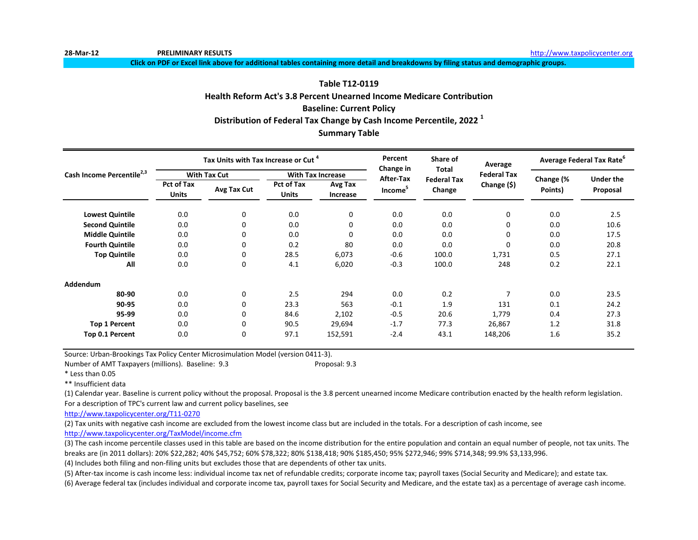**28-Mar-12 PRELIMINARY RESULTS** [http://www.ta](http://www.taxpolicycenter.org/)xpolicycenter.org

**Click on PDF or Excel link above for additional tables containing more detail and breakdowns by filing status and demographic groups.**

#### **Table T12-0119**

## **Health Reform Act's 3.8 Percent Unearned Income Medicare Contribution**

### **Baseline: Current Policy**

### **Distribution of Federal Tax Change by Cash Income Percentile, 2022 <sup>1</sup>**

#### **Summary Table**

|                                       |                                   | Tax Units with Tax Increase or Cut <sup>4</sup> |                                   |                            | Percent                | Share of<br><b>Total</b>     | Average            | Average Federal Tax Rate <sup>6</sup> |                              |
|---------------------------------------|-----------------------------------|-------------------------------------------------|-----------------------------------|----------------------------|------------------------|------------------------------|--------------------|---------------------------------------|------------------------------|
| Cash Income Percentile <sup>2,3</sup> |                                   | <b>With Tax Cut</b>                             |                                   | <b>With Tax Increase</b>   | Change in<br>After-Tax |                              | <b>Federal Tax</b> |                                       |                              |
|                                       | <b>Pct of Tax</b><br><b>Units</b> | Avg Tax Cut                                     | <b>Pct of Tax</b><br><b>Units</b> | Avg Tax<br><b>Increase</b> | Income <sup>5</sup>    | <b>Federal Tax</b><br>Change | Change (\$)        | Change (%<br>Points)                  | <b>Under the</b><br>Proposal |
| <b>Lowest Quintile</b>                | 0.0                               | 0                                               | 0.0                               | 0                          | 0.0                    | 0.0                          | 0                  | 0.0                                   | 2.5                          |
| <b>Second Quintile</b>                | 0.0                               | 0                                               | 0.0                               | 0                          | 0.0                    | 0.0                          | 0                  | 0.0                                   | 10.6                         |
| <b>Middle Quintile</b>                | 0.0                               | 0                                               | 0.0                               | $\Omega$                   | 0.0                    | 0.0                          | 0                  | 0.0                                   | 17.5                         |
| <b>Fourth Quintile</b>                | 0.0                               | 0                                               | 0.2                               | 80                         | 0.0                    | 0.0                          | 0                  | 0.0                                   | 20.8                         |
| <b>Top Quintile</b>                   | 0.0                               | 0                                               | 28.5                              | 6,073                      | $-0.6$                 | 100.0                        | 1,731              | 0.5                                   | 27.1                         |
| All                                   | 0.0                               | 0                                               | 4.1                               | 6,020                      | $-0.3$                 | 100.0                        | 248                | 0.2                                   | 22.1                         |
| Addendum                              |                                   |                                                 |                                   |                            |                        |                              |                    |                                       |                              |
| 80-90                                 | 0.0                               | 0                                               | 2.5                               | 294                        | 0.0                    | 0.2                          | 7                  | 0.0                                   | 23.5                         |
| 90-95                                 | 0.0                               | 0                                               | 23.3                              | 563                        | $-0.1$                 | 1.9                          | 131                | 0.1                                   | 24.2                         |
| 95-99                                 | 0.0                               | $\Omega$                                        | 84.6                              | 2,102                      | $-0.5$                 | 20.6                         | 1,779              | 0.4                                   | 27.3                         |
| <b>Top 1 Percent</b>                  | 0.0                               | $\Omega$                                        | 90.5                              | 29,694                     | $-1.7$                 | 77.3                         | 26,867             | 1.2                                   | 31.8                         |
| Top 0.1 Percent                       | 0.0                               | $\Omega$                                        | 97.1                              | 152,591                    | $-2.4$                 | 43.1                         | 148,206            | 1.6                                   | 35.2                         |

Source: Urban-Brookings Tax Policy Center Microsimulation Model (version 0411-3).

Number of AMT Taxpayers (millions). Baseline: 9.3 Proposal: 9.3

\* Less than 0.05

\*\* Insufficient data

(1) Calendar year. Baseline is current policy without the proposal. Proposal is the 3.8 percent unearned income Medicare contribution enacted by the health reform legislation. For a description of TPC's current law and current policy baselines, see

[http://www.taxpolicycente](http://www.taxpolicycenter.org/T11-0270)r.org/T11-0270

(2) Tax units with negative cash income are excluded from the lowest income class but are included in the totals. For a description of cash income, see [http://www.taxpolicycente](http://www.taxpolicycenter.org/TaxModel/income.cfm)r.org/TaxModel/income.cfm

(3) The cash income percentile classes used in this table are based on the income distribution for the entire population and contain an equal number of people, not tax units. The breaks are (in 2011 dollars): 20% \$22,282; 40% \$45,752; 60% \$78,322; 80% \$138,418; 90% \$185,450; 95% \$272,946; 99% \$714,348; 99.9% \$3,133,996.

(4) Includes both filing and non-filing units but excludes those that are dependents of other tax units.

(5) After-tax income is cash income less: individual income tax net of refundable credits; corporate income tax; payroll taxes (Social Security and Medicare); and estate tax.

(6) Average federal tax (includes individual and corporate income tax, payroll taxes for Social Security and Medicare, and the estate tax) as a percentage of average cash income.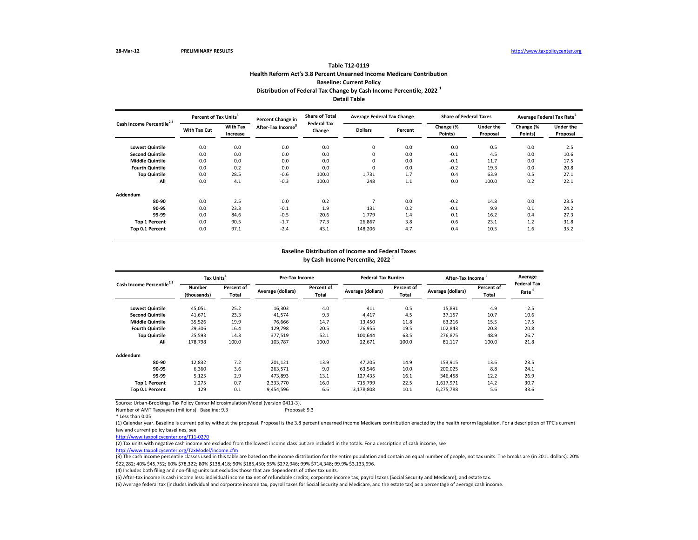| Cash Income Percentile <sup>2,3</sup> | Percent of Tax Units <sup>4</sup> |                             | Percent Change in             | <b>Share of Total</b><br><b>Federal Tax</b> | <b>Average Federal Tax Change</b> |         | <b>Share of Federal Taxes</b> |                              | Average Federal Tax Rate <sup>6</sup> |                              |
|---------------------------------------|-----------------------------------|-----------------------------|-------------------------------|---------------------------------------------|-----------------------------------|---------|-------------------------------|------------------------------|---------------------------------------|------------------------------|
|                                       | <b>With Tax Cut</b>               | <b>With Tax</b><br>Increase | After-Tax Income <sup>5</sup> | Change                                      | <b>Dollars</b>                    | Percent | Change (%<br>Points)          | <b>Under the</b><br>Proposal | Change (%<br>Points)                  | <b>Under the</b><br>Proposal |
| <b>Lowest Quintile</b>                | 0.0                               | 0.0                         | 0.0                           | 0.0                                         | 0                                 | 0.0     | 0.0                           | 0.5                          | 0.0                                   | 2.5                          |
| <b>Second Quintile</b>                | 0.0                               | 0.0                         | 0.0                           | 0.0                                         | $\Omega$                          | 0.0     | $-0.1$                        | 4.5                          | 0.0                                   | 10.6                         |
| <b>Middle Quintile</b>                | 0.0                               | 0.0                         | 0.0                           | 0.0                                         | 0                                 | 0.0     | $-0.1$                        | 11.7                         | 0.0                                   | 17.5                         |
| <b>Fourth Quintile</b>                | 0.0                               | 0.2                         | 0.0                           | 0.0                                         | $\mathbf{0}$                      | 0.0     | $-0.2$                        | 19.3                         | 0.0                                   | 20.8                         |
| <b>Top Quintile</b>                   | 0.0                               | 28.5                        | $-0.6$                        | 100.0                                       | 1,731                             | 1.7     | 0.4                           | 63.9                         | 0.5                                   | 27.1                         |
| All                                   | 0.0                               | 4.1                         | $-0.3$                        | 100.0                                       | 248                               | 1.1     | 0.0                           | 100.0                        | 0.2                                   | 22.1                         |
| <b>Addendum</b>                       |                                   |                             |                               |                                             |                                   |         |                               |                              |                                       |                              |
| 80-90                                 | 0.0                               | 2.5                         | 0.0                           | 0.2                                         |                                   | 0.0     | $-0.2$                        | 14.8                         | 0.0                                   | 23.5                         |
| 90-95                                 | 0.0                               | 23.3                        | $-0.1$                        | 1.9                                         | 131                               | 0.2     | $-0.1$                        | 9.9                          | 0.1                                   | 24.2                         |
| 95-99                                 | 0.0                               | 84.6                        | $-0.5$                        | 20.6                                        | 1,779                             | 1.4     | 0.1                           | 16.2                         | 0.4                                   | 27.3                         |
| <b>Top 1 Percent</b>                  | 0.0                               | 90.5                        | $-1.7$                        | 77.3                                        | 26,867                            | 3.8     | 0.6                           | 23.1                         | 1.2                                   | 31.8                         |
| Top 0.1 Percent                       | 0.0                               | 97.1                        | $-2.4$                        | 43.1                                        | 148,206                           | 4.7     | 0.4                           | 10.5                         | 1.6                                   | 35.2                         |

(3) The cash income percentile classes used in this table are based on the income distribution for the entire population and contain an equal number of people, not tax units. The breaks are (in 2011 dollars): 20% \$22,282; 40% \$45,752; 60% \$78,322; 80% \$138,418; 90% \$185,450; 95% \$272,946; 99% \$714,348; 99.9% \$3,133,996.

Source: Urban-Brookings Tax Policy Center Microsimulation Model (version 0411-3).

Number of AMT Taxpayers (millions). Baseline: 9.3 Proposal: 9.3

# **Detail Table Table T12-0119 Health Reform Act's 3.8 Percent Unearned Income Medicare Contribution Baseline: Current Policy Distribution of Federal Tax Change by Cash Income Percentile, 2022 <sup>1</sup>**

| Cash Income Percentile <sup>2,3</sup> | Tax Units <sup>4</sup>       |                     | <b>Pre-Tax Income</b> |                            | <b>Federal Tax Burden</b> |                     | <b>After-Tax Income</b> |                            | Average                    |
|---------------------------------------|------------------------------|---------------------|-----------------------|----------------------------|---------------------------|---------------------|-------------------------|----------------------------|----------------------------|
|                                       | <b>Number</b><br>(thousands) | Percent of<br>Total | Average (dollars)     | Percent of<br><b>Total</b> | Average (dollars)         | Percent of<br>Total | Average (dollars)       | Percent of<br><b>Total</b> | <b>Federal Tax</b><br>Rate |
| <b>Lowest Quintile</b>                | 45,051                       | 25.2                | 16,303                | 4.0                        | 411                       | 0.5                 | 15,891                  | 4.9                        | 2.5                        |
| <b>Second Quintile</b>                | 41,671                       | 23.3                | 41,574                | 9.3                        | 4,417                     | 4.5                 | 37,157                  | 10.7                       | 10.6                       |
| <b>Middle Quintile</b>                | 35,526                       | 19.9                | 76,666                | 14.7                       | 13,450                    | 11.8                | 63,216                  | 15.5                       | 17.5                       |
| <b>Fourth Quintile</b>                | 29,306                       | 16.4                | 129,798               | 20.5                       | 26,955                    | 19.5                | 102,843                 | 20.8                       | 20.8                       |
| <b>Top Quintile</b>                   | 25,593                       | 14.3                | 377,519               | 52.1                       | 100,644                   | 63.5                | 276,875                 | 48.9                       | 26.7                       |
| All                                   | 178,798                      | 100.0               | 103,787               | 100.0                      | 22,671                    | 100.0               | 81,117                  | 100.0                      | 21.8                       |
| <b>Addendum</b>                       |                              |                     |                       |                            |                           |                     |                         |                            |                            |
| 80-90                                 | 12,832                       | 7.2                 | 201,121               | 13.9                       | 47,205                    | 14.9                | 153,915                 | 13.6                       | 23.5                       |
| 90-95                                 | 6,360                        | 3.6                 | 263,571               | 9.0                        | 63,546                    | 10.0                | 200,025                 | 8.8                        | 24.1                       |
| 95-99                                 | 5,125                        | 2.9                 | 473,893               | 13.1                       | 127,435                   | 16.1                | 346,458                 | 12.2                       | 26.9                       |
| <b>Top 1 Percent</b>                  | 1,275                        | 0.7                 | 2,333,770             | 16.0                       | 715,799                   | 22.5                | 1,617,971               | 14.2                       | 30.7                       |
| <b>Top 0.1 Percent</b>                | 129                          | 0.1                 | 9,454,596             | 6.6                        | 3,178,808                 | 10.1                | 6,275,788               | 5.6                        | 33.6                       |

## **Baseline Distribution of Income and Federal Taxes by Cash Income Percentile, 2022 <sup>1</sup>**

(4) Includes both filing and non-filing units but excludes those that are dependents of other tax units.

(5) After-tax income is cash income less: individual income tax net of refundable credits; corporate income tax; payroll taxes (Social Security and Medicare); and estate tax.

[http://www.taxpolicycente](http://www.taxpolicycenter.org/TaxModel/income.cfm)r.org/TaxModel/income.cfm (2) Tax units with negative cash income are excluded from the lowest income class but are included in the totals. For a description of cash income, see

(6) Average federal tax (includes individual and corporate income tax, payroll taxes for Social Security and Medicare, and the estate tax) as a percentage of average cash income.

(1) Calendar year. Baseline is current policy without the proposal. Proposal is the 3.8 percent unearned income Medicare contribution enacted by the health reform legislation. For a description of TPC's current law and current policy baselines, see

[http://www.taxpolicycente](http://www.taxpolicycenter.org/T11-0270)r.org/T11-0270

<sup>\*</sup> Less than 0.05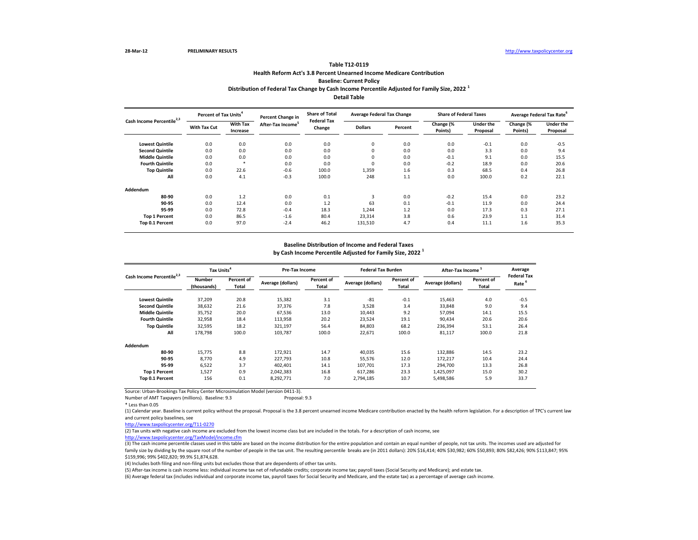| Cash Income Percentile <sup>2,3</sup> |                     | Percent of Tax Units <sup>4</sup> |                               | <b>Share of Total</b><br><b>Percent Change in</b><br><b>Federal Tax</b> | <b>Average Federal Tax Change</b> |         | <b>Share of Federal Taxes</b> |                       | Average Federal Tax Rate <sup>6</sup> |                              |
|---------------------------------------|---------------------|-----------------------------------|-------------------------------|-------------------------------------------------------------------------|-----------------------------------|---------|-------------------------------|-----------------------|---------------------------------------|------------------------------|
|                                       | <b>With Tax Cut</b> | <b>With Tax</b><br>Increase       | After-Tax Income <sup>3</sup> | Change                                                                  | <b>Dollars</b>                    | Percent | Change (%<br>Points)          | Under the<br>Proposal | Change (%<br>Points)                  | <b>Under the</b><br>Proposal |
| <b>Lowest Quintile</b>                | 0.0                 | 0.0                               | 0.0                           | 0.0                                                                     | 0                                 | 0.0     | 0.0                           | $-0.1$                | 0.0                                   | $-0.5$                       |
| <b>Second Quintile</b>                | 0.0                 | 0.0                               | 0.0                           | 0.0                                                                     | 0                                 | 0.0     | 0.0                           | 3.3                   | 0.0                                   | 9.4                          |
| <b>Middle Quintile</b>                | 0.0                 | 0.0                               | 0.0                           | 0.0                                                                     | 0                                 | 0.0     | $-0.1$                        | 9.1                   | 0.0                                   | 15.5                         |
| <b>Fourth Quintile</b>                | 0.0                 |                                   | 0.0                           | 0.0                                                                     | 0                                 | 0.0     | $-0.2$                        | 18.9                  | 0.0                                   | 20.6                         |
| <b>Top Quintile</b>                   | 0.0                 | 22.6                              | $-0.6$                        | 100.0                                                                   | 1,359                             | $1.6\,$ | 0.3                           | 68.5                  | 0.4                                   | 26.8                         |
| All                                   | 0.0                 | 4.1                               | $-0.3$                        | 100.0                                                                   | 248                               | 1.1     | 0.0                           | 100.0                 | 0.2                                   | 22.1                         |
| Addendum                              |                     |                                   |                               |                                                                         |                                   |         |                               |                       |                                       |                              |
| 80-90                                 | 0.0                 | 1.2                               | 0.0                           | 0.1                                                                     | 3                                 | 0.0     | $-0.2$                        | 15.4                  | 0.0                                   | 23.2                         |
| 90-95                                 | 0.0                 | 12.4                              | 0.0                           | 1.2                                                                     | 63                                | 0.1     | $-0.1$                        | 11.9                  | 0.0                                   | 24.4                         |
| 95-99                                 | 0.0                 | 72.8                              | $-0.4$                        | 18.3                                                                    | 1,244                             | 1.2     | 0.0                           | 17.3                  | 0.3                                   | 27.1                         |
| <b>Top 1 Percent</b>                  | 0.0                 | 86.5                              | $-1.6$                        | 80.4                                                                    | 23,314                            | 3.8     | 0.6                           | 23.9                  | 1.1                                   | 31.4                         |
| Top 0.1 Percent                       | 0.0                 | 97.0                              | $-2.4$                        | 46.2                                                                    | 131,510                           | 4.7     | 0.4                           | 11.1                  | 1.6                                   | 35.3                         |

Number of AMT Taxpayers (millions). Baseline: 9.3

\* Less than 0.05

**Distribution of Federal Tax Change by Cash Income Percentile Adjusted for Family Size, 2022 <sup>1</sup>**

**Detail Table**

# **Table T12-0119 Health Reform Act's 3.8 Percent Unearned Income Medicare Contribution Baseline: Current Policy**

| Cash Income Percentile <sup>2,3</sup> | Tax Units <sup>4</sup>       |                                   | <b>Pre-Tax Income</b> |                     | <b>Federal Tax Burden</b> |                            | After-Tax Income <sup>5</sup> |                            | Average<br><b>Federal Tax</b> |
|---------------------------------------|------------------------------|-----------------------------------|-----------------------|---------------------|---------------------------|----------------------------|-------------------------------|----------------------------|-------------------------------|
|                                       | <b>Number</b><br>(thousands) | <b>Percent of</b><br><b>Total</b> | Average (dollars)     | Percent of<br>Total | Average (dollars)         | Percent of<br><b>Total</b> | Average (dollars)             | Percent of<br><b>Total</b> | Rate <sup>6</sup>             |
| <b>Lowest Quintile</b>                | 37,209                       | 20.8                              | 15,382                | 3.1                 | -81                       | $-0.1$                     | 15,463                        | 4.0                        | $-0.5$                        |
| <b>Second Quintile</b>                | 38,632                       | 21.6                              | 37,376                | 7.8                 | 3,528                     | 3.4                        | 33,848                        | 9.0                        | 9.4                           |
| <b>Middle Quintile</b>                | 35,752                       | 20.0                              | 67,536                | 13.0                | 10,443                    | 9.2                        | 57,094                        | 14.1                       | 15.5                          |
| <b>Fourth Quintile</b>                | 32,958                       | 18.4                              | 113,958               | 20.2                | 23,524                    | 19.1                       | 90,434                        | 20.6                       | 20.6                          |
| <b>Top Quintile</b>                   | 32,595                       | 18.2                              | 321,197               | 56.4                | 84,803                    | 68.2                       | 236,394                       | 53.1                       | 26.4                          |
| All                                   | 178,798                      | 100.0                             | 103,787               | 100.0               | 22,671                    | 100.0                      | 81,117                        | 100.0                      | 21.8                          |
| <b>Addendum</b>                       |                              |                                   |                       |                     |                           |                            |                               |                            |                               |
| 80-90                                 | 15,775                       | 8.8                               | 172,921               | 14.7                | 40,035                    | 15.6                       | 132,886                       | 14.5                       | 23.2                          |
| 90-95                                 | 8,770                        | 4.9                               | 227,793               | 10.8                | 55,576                    | 12.0                       | 172,217                       | 10.4                       | 24.4                          |
| 95-99                                 | 6,522                        | 3.7                               | 402,401               | 14.1                | 107,701                   | 17.3                       | 294,700                       | 13.3                       | 26.8                          |
| <b>Top 1 Percent</b>                  | 1,527                        | 0.9                               | 2,042,383             | 16.8                | 617,286                   | 23.3                       | 1,425,097                     | 15.0                       | 30.2                          |
| Top 0.1 Percent                       | 156                          | 0.1                               | 8,292,771             | 7.0                 | 2,794,185                 | 10.7                       | 5,498,586                     | 5.9                        | 33.7                          |

### **Baseline Distribution of Income and Federal Taxes**

**by Cash Income Percentile Adjusted for Family Size, 2022 <sup>1</sup>**

(3) The cash income percentile classes used in this table are based on the income distribution for the entire population and contain an equal number of people, not tax units. The incomes used are adjusted for family size by dividing by the square root of the number of people in the tax unit. The resulting percentile breaks are (in 2011 dollars): 20% \$16,414; 40% \$30,982; 60% \$50,893; 80% \$82,426; 90% \$113,847; 95% \$159,996; 99% \$402,820; 99.9% \$1,874,628.

(4) Includes both filing and non-filing units but excludes those that are dependents of other tax units.

[http://www.taxpolicycente](http://www.taxpolicycenter.org/TaxModel/income.cfm)r.org/TaxModel/income.cfm (2) Tax units with negative cash income are excluded from the lowest income class but are included in the totals. For a description of cash income, see

(5) After-tax income is cash income less: individual income tax net of refundable credits; corporate income tax; payroll taxes (Social Security and Medicare); and estate tax. (6) Average federal tax (includes individual and corporate income tax, payroll taxes for Social Security and Medicare, and the estate tax) as a percentage of average cash income.

(1) Calendar year. Baseline is current policy without the proposal. Proposal is the 3.8 percent unearned income Medicare contribution enacted by the health reform legislation. For a description of TPC's current law and current policy baselines, see

[http://www.taxpolicycente](http://www.taxpolicycenter.org/T11-0270)r.org/T11-0270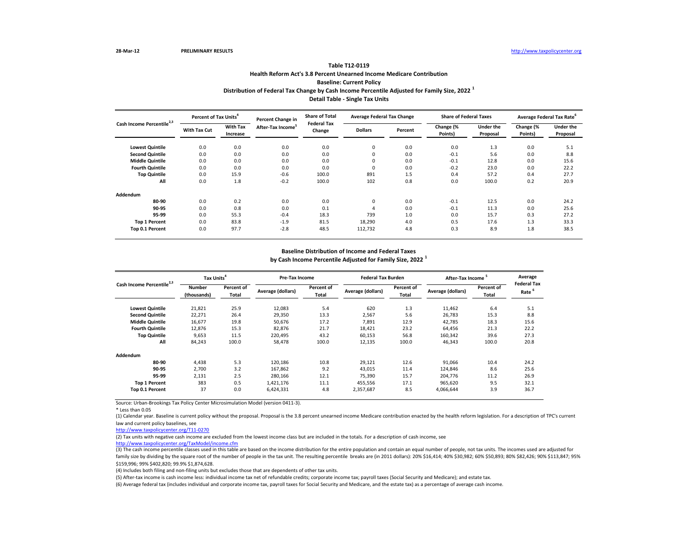| Cash Income Percentile <sup>2,3</sup> |                     | Percent of Tax Units <sup>4</sup> |                               | <b>Share of Total</b><br>Percent Change in<br><b>Federal Tax</b> | <b>Average Federal Tax Change</b> |         | <b>Share of Federal Taxes</b> |                              | Average Federal Tax Rate <sup>6</sup> |                              |
|---------------------------------------|---------------------|-----------------------------------|-------------------------------|------------------------------------------------------------------|-----------------------------------|---------|-------------------------------|------------------------------|---------------------------------------|------------------------------|
|                                       | <b>With Tax Cut</b> | <b>With Tax</b><br>Increase       | After-Tax Income <sup>5</sup> | Change                                                           | <b>Dollars</b>                    | Percent | Change (%<br>Points)          | <b>Under the</b><br>Proposal | Change (%<br>Points)                  | <b>Under the</b><br>Proposal |
| <b>Lowest Quintile</b>                | 0.0                 | 0.0                               | 0.0                           | 0.0                                                              | 0                                 | 0.0     | 0.0                           | 1.3                          | 0.0                                   | 5.1                          |
| <b>Second Quintile</b>                | 0.0                 | 0.0                               | 0.0                           | 0.0                                                              | 0                                 | 0.0     | $-0.1$                        | 5.6                          | 0.0                                   | 8.8                          |
| <b>Middle Quintile</b>                | 0.0                 | 0.0                               | 0.0                           | 0.0                                                              | 0                                 | 0.0     | $-0.1$                        | 12.8                         | 0.0                                   | 15.6                         |
| <b>Fourth Quintile</b>                | 0.0                 | 0.0                               | 0.0                           | 0.0                                                              | 0                                 | 0.0     | $-0.2$                        | 23.0                         | 0.0                                   | 22.2                         |
| <b>Top Quintile</b>                   | 0.0                 | 15.9                              | $-0.6$                        | 100.0                                                            | 891                               | 1.5     | 0.4                           | 57.2                         | 0.4                                   | 27.7                         |
| All                                   | 0.0                 | 1.8                               | $-0.2$                        | 100.0                                                            | 102                               | 0.8     | 0.0                           | 100.0                        | 0.2                                   | 20.9                         |
| Addendum                              |                     |                                   |                               |                                                                  |                                   |         |                               |                              |                                       |                              |
| 80-90                                 | 0.0                 | 0.2                               | 0.0                           | 0.0                                                              | $\mathbf 0$                       | 0.0     | $-0.1$                        | 12.5                         | 0.0                                   | 24.2                         |
| 90-95                                 | 0.0                 | 0.8                               | 0.0                           | 0.1                                                              | 4                                 | 0.0     | $-0.1$                        | 11.3                         | 0.0                                   | 25.6                         |
| 95-99                                 | 0.0                 | 55.3                              | $-0.4$                        | 18.3                                                             | 739                               | 1.0     | 0.0                           | 15.7                         | 0.3                                   | 27.2                         |
| <b>Top 1 Percent</b>                  | 0.0                 | 83.8                              | $-1.9$                        | 81.5                                                             | 18,290                            | 4.0     | 0.5                           | 17.6                         | 1.3                                   | 33.3                         |
| Top 0.1 Percent                       | 0.0                 | 97.7                              | $-2.8$                        | 48.5                                                             | 112,732                           | 4.8     | 0.3                           | 8.9                          | 1.8                                   | 38.5                         |

\* Less than 0.05

| Cash Income Percentile <sup>2,3</sup> | Tax Units <sup>4</sup>       |                            | Pre-Tax Income    |                            | <b>Federal Tax Burden</b> |                     | After-Tax Income  |                            | Average                                 |
|---------------------------------------|------------------------------|----------------------------|-------------------|----------------------------|---------------------------|---------------------|-------------------|----------------------------|-----------------------------------------|
|                                       | <b>Number</b><br>(thousands) | Percent of<br><b>Total</b> | Average (dollars) | Percent of<br><b>Total</b> | Average (dollars)         | Percent of<br>Total | Average (dollars) | Percent of<br><b>Total</b> | <b>Federal Tax</b><br>Rate <sup>6</sup> |
| <b>Lowest Quintile</b>                | 21,821                       | 25.9                       | 12,083            | 5.4                        | 620                       | 1.3                 | 11,462            | 6.4                        | 5.1                                     |
| <b>Second Quintile</b>                | 22,271                       | 26.4                       | 29,350            | 13.3                       | 2,567                     | 5.6                 | 26,783            | 15.3                       | 8.8                                     |
| <b>Middle Quintile</b>                | 16,677                       | 19.8                       | 50,676            | 17.2                       | 7,891                     | 12.9                | 42,785            | 18.3                       | 15.6                                    |
| <b>Fourth Quintile</b>                | 12,876                       | 15.3                       | 82,876            | 21.7                       | 18,421                    | 23.2                | 64,456            | 21.3                       | 22.2                                    |
| <b>Top Quintile</b>                   | 9,653                        | 11.5                       | 220,495           | 43.2                       | 60,153                    | 56.8                | 160,342           | 39.6                       | 27.3                                    |
| All                                   | 84,243                       | 100.0                      | 58,478            | 100.0                      | 12,135                    | 100.0               | 46,343            | 100.0                      | 20.8                                    |
| Addendum                              |                              |                            |                   |                            |                           |                     |                   |                            |                                         |
| 80-90                                 | 4,438                        | 5.3                        | 120,186           | 10.8                       | 29,121                    | 12.6                | 91,066            | 10.4                       | 24.2                                    |
| 90-95                                 | 2,700                        | 3.2                        | 167,862           | 9.2                        | 43,015                    | 11.4                | 124,846           | 8.6                        | 25.6                                    |
| 95-99                                 | 2,131                        | 2.5                        | 280,166           | 12.1                       | 75,390                    | 15.7                | 204,776           | 11.2                       | 26.9                                    |
| <b>Top 1 Percent</b>                  | 383                          | 0.5                        | 1,421,176         | 11.1                       | 455,556                   | 17.1                | 965,620           | 9.5                        | 32.1                                    |
| Top 0.1 Percent                       | 37                           | 0.0                        | 6,424,331         | 4.8                        | 2,357,687                 | 8.5                 | 4,066,644         | 3.9                        | 36.7                                    |

# **Distribution of Federal Tax Change by Cash Income Percentile Adjusted for Family Size, 2022 <sup>1</sup> Detail Table - Single Tax Units**

# **Table T12-0119 Health Reform Act's 3.8 Percent Unearned Income Medicare Contribution Baseline: Current Policy**

## **Baseline Distribution of Income and Federal Taxes**

**by Cash Income Percentile Adjusted for Family Size, 2022 <sup>1</sup>**

(5) After-tax income is cash income less: individual income tax net of refundable credits; corporate income tax; payroll taxes (Social Security and Medicare); and estate tax. (6) Average federal tax (includes individual and corporate income tax, payroll taxes for Social Security and Medicare, and the estate tax) as a percentage of average cash income.

(1) Calendar year. Baseline is current policy without the proposal. Proposal is the 3.8 percent unearned income Medicare contribution enacted by the health reform legislation. For a description of TPC's current law and current policy baselines, see

[http://www.taxpolicycente](http://www.taxpolicycenter.org/T11-0270)r.org/T11-0270

(2) Tax units with negative cash income are excluded from the lowest income class but are included in the totals. For a description of cash income, see [http://www.taxpolicycente](http://www.taxpolicycenter.org/TaxModel/income.cfm)r.org/TaxModel/income.cfm

(3) The cash income percentile classes used in this table are based on the income distribution for the entire population and contain an equal number of people, not tax units. The incomes used are adjusted for family size by dividing by the square root of the number of people in the tax unit. The resulting percentile breaks are (in 2011 dollars): 20% \$16,414; 40% \$30,982; 60% \$50,893; 80% \$82,426; 90% \$113,847; 95% \$159,996; 99% \$402,820; 99.9% \$1,874,628.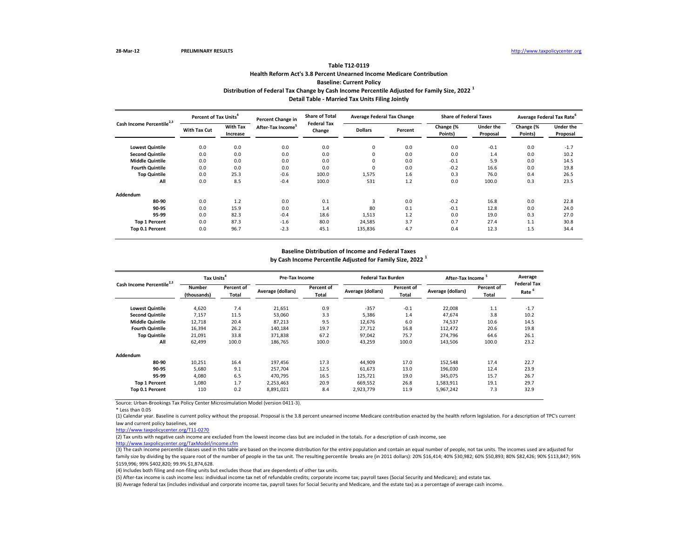| Cash Income Percentile <sup>2,3</sup> |                     | Percent of Tax Units <sup>4</sup><br>Percent Change in |                               | <b>Share of Total</b><br><b>Federal Tax</b> | <b>Average Federal Tax Change</b> |         | <b>Share of Federal Taxes</b> |                              | Average Federal Tax Rate <sup>6</sup> |                              |
|---------------------------------------|---------------------|--------------------------------------------------------|-------------------------------|---------------------------------------------|-----------------------------------|---------|-------------------------------|------------------------------|---------------------------------------|------------------------------|
|                                       | <b>With Tax Cut</b> | <b>With Tax</b><br>Increase                            | After-Tax Income <sup>5</sup> | Change                                      | <b>Dollars</b>                    | Percent | Change (%<br>Points)          | <b>Under the</b><br>Proposal | Change (%<br>Points)                  | <b>Under the</b><br>Proposal |
| <b>Lowest Quintile</b>                | 0.0                 | 0.0                                                    | 0.0                           | 0.0                                         | 0                                 | 0.0     | 0.0                           | $-0.1$                       | 0.0                                   | $-1.7$                       |
| <b>Second Quintile</b>                | 0.0                 | 0.0                                                    | 0.0                           | 0.0                                         | 0                                 | 0.0     | 0.0                           | 1.4                          | 0.0                                   | 10.2                         |
| <b>Middle Quintile</b>                | 0.0                 | 0.0                                                    | 0.0                           | 0.0                                         | 0                                 | 0.0     | $-0.1$                        | 5.9                          | 0.0                                   | 14.5                         |
| <b>Fourth Quintile</b>                | 0.0                 | 0.0                                                    | 0.0                           | 0.0                                         | $\mathbf{0}$                      | 0.0     | $-0.2$                        | 16.6                         | 0.0                                   | 19.8                         |
| <b>Top Quintile</b>                   | 0.0                 | 25.3                                                   | $-0.6$                        | 100.0                                       | 1,575                             | 1.6     | 0.3                           | 76.0                         | 0.4                                   | 26.5                         |
| All                                   | 0.0                 | 8.5                                                    | $-0.4$                        | 100.0                                       | 531                               | 1.2     | 0.0                           | 100.0                        | 0.3                                   | 23.5                         |
| Addendum                              |                     |                                                        |                               |                                             |                                   |         |                               |                              |                                       |                              |
| 80-90                                 | 0.0                 | 1.2                                                    | 0.0                           | 0.1                                         | 3                                 | 0.0     | $-0.2$                        | 16.8                         | 0.0                                   | 22.8                         |
| 90-95                                 | 0.0                 | 15.9                                                   | 0.0                           | 1.4                                         | 80                                | 0.1     | $-0.1$                        | 12.8                         | 0.0                                   | 24.0                         |
| 95-99                                 | 0.0                 | 82.3                                                   | $-0.4$                        | 18.6                                        | 1,513                             | 1.2     | 0.0                           | 19.0                         | 0.3                                   | 27.0                         |
| <b>Top 1 Percent</b>                  | 0.0                 | 87.3                                                   | $-1.6$                        | 80.0                                        | 24,585                            | 3.7     | 0.7                           | 27.4                         | 1.1                                   | 30.8                         |
| Top 0.1 Percent                       | 0.0                 | 96.7                                                   | $-2.3$                        | 45.1                                        | 135,836                           | 4.7     | 0.4                           | 12.3                         | 1.5                                   | 34.4                         |

\* Less than 0.05

| Cash Income Percentile <sup>2,3</sup> |                              | Tax Units <sup>4</sup> |                   | Pre-Tax Income             |                   | <b>Federal Tax Burden</b>  | <b>After-Tax Income</b> |                            | Average                                 |
|---------------------------------------|------------------------------|------------------------|-------------------|----------------------------|-------------------|----------------------------|-------------------------|----------------------------|-----------------------------------------|
|                                       | <b>Number</b><br>(thousands) | Percent of<br>Total    | Average (dollars) | Percent of<br><b>Total</b> | Average (dollars) | Percent of<br><b>Total</b> | Average (dollars)       | Percent of<br><b>Total</b> | <b>Federal Tax</b><br>Rate <sup>6</sup> |
| <b>Lowest Quintile</b>                | 4,620                        | 7.4                    | 21,651            | 0.9                        | $-357$            | $-0.1$                     | 22,008                  | 1.1                        | $-1.7$                                  |
| <b>Second Quintile</b>                | 7,157                        | 11.5                   | 53,060            | 3.3                        | 5,386             | 1.4                        | 47,674                  | 3.8                        | 10.2                                    |
| <b>Middle Quintile</b>                | 12,718                       | 20.4                   | 87,213            | 9.5                        | 12,676            | 6.0                        | 74,537                  | 10.6                       | 14.5                                    |
| <b>Fourth Quintile</b>                | 16,394                       | 26.2                   | 140,184           | 19.7                       | 27,712            | 16.8                       | 112,472                 | 20.6                       | 19.8                                    |
| <b>Top Quintile</b>                   | 21,091                       | 33.8                   | 371,838           | 67.2                       | 97,042            | 75.7                       | 274,796                 | 64.6                       | 26.1                                    |
| All                                   | 62,499                       | 100.0                  | 186,765           | 100.0                      | 43,259            | 100.0                      | 143,506                 | 100.0                      | 23.2                                    |
| Addendum                              |                              |                        |                   |                            |                   |                            |                         |                            |                                         |
| 80-90                                 | 10,251                       | 16.4                   | 197,456           | 17.3                       | 44,909            | 17.0                       | 152,548                 | 17.4                       | 22.7                                    |
| 90-95                                 | 5,680                        | 9.1                    | 257,704           | 12.5                       | 61,673            | 13.0                       | 196,030                 | 12.4                       | 23.9                                    |
| 95-99                                 | 4,080                        | 6.5                    | 470,795           | 16.5                       | 125,721           | 19.0                       | 345,075                 | 15.7                       | 26.7                                    |
| <b>Top 1 Percent</b>                  | 1,080                        | 1.7                    | 2,253,463         | 20.9                       | 669,552           | 26.8                       | 1,583,911               | 19.1                       | 29.7                                    |
| Top 0.1 Percent                       | 110                          | 0.2                    | 8,891,021         | 8.4                        | 2,923,779         | 11.9                       | 5,967,242               | 7.3                        | 32.9                                    |

# **Distribution of Federal Tax Change by Cash Income Percentile Adjusted for Family Size, 2022 <sup>1</sup> Detail Table - Married Tax Units Filing Jointly**

# **Table T12-0119 Health Reform Act's 3.8 Percent Unearned Income Medicare Contribution Baseline: Current Policy**

## **Baseline Distribution of Income and Federal Taxes**

**by Cash Income Percentile Adjusted for Family Size, 2022 <sup>1</sup>**

(5) After-tax income is cash income less: individual income tax net of refundable credits; corporate income tax; payroll taxes (Social Security and Medicare); and estate tax.

(6) Average federal tax (includes individual and corporate income tax, payroll taxes for Social Security and Medicare, and the estate tax) as a percentage of average cash income.

(1) Calendar year. Baseline is current policy without the proposal. Proposal is the 3.8 percent unearned income Medicare contribution enacted by the health reform legislation. For a description of TPC's current law and current policy baselines, see

[http://www.taxpolicycente](http://www.taxpolicycenter.org/T11-0270)r.org/T11-0270

(2) Tax units with negative cash income are excluded from the lowest income class but are included in the totals. For a description of cash income, see [http://www.taxpolicycente](http://www.taxpolicycenter.org/TaxModel/income.cfm)r.org/TaxModel/income.cfm

(3) The cash income percentile classes used in this table are based on the income distribution for the entire population and contain an equal number of people, not tax units. The incomes used are adjusted for family size by dividing by the square root of the number of people in the tax unit. The resulting percentile breaks are (in 2011 dollars): 20% \$16,414; 40% \$30,982; 60% \$50,893; 80% \$82,426; 90% \$113,847; 95% \$159,996; 99% \$402,820; 99.9% \$1,874,628.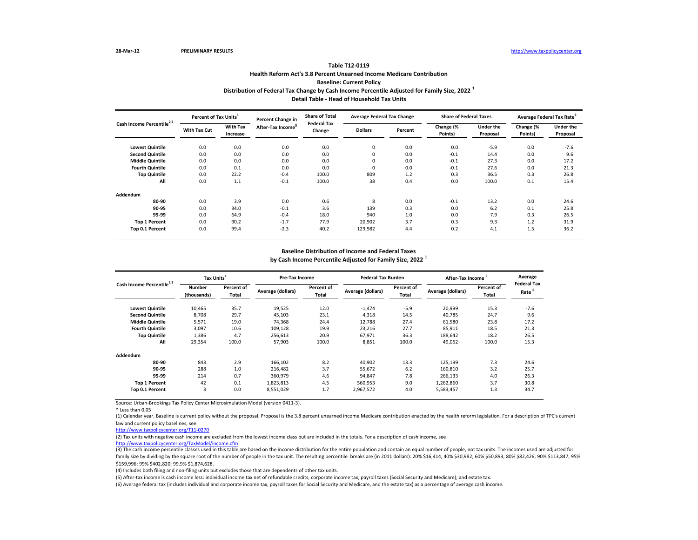| Cash Income Percentile <sup>2,3</sup> |                     | Percent of Tax Units <sup>4</sup> |                               | <b>Share of Total</b><br>Percent Change in | <b>Average Federal Tax Change</b> |         | <b>Share of Federal Taxes</b> |                              |                      | Average Federal Tax Rate <sup>6</sup> |
|---------------------------------------|---------------------|-----------------------------------|-------------------------------|--------------------------------------------|-----------------------------------|---------|-------------------------------|------------------------------|----------------------|---------------------------------------|
|                                       | <b>With Tax Cut</b> | <b>With Tax</b><br>Increase       | After-Tax Income <sup>5</sup> | <b>Federal Tax</b><br>Change               | <b>Dollars</b>                    | Percent | Change (%<br>Points)          | <b>Under the</b><br>Proposal | Change (%<br>Points) | <b>Under the</b><br>Proposal          |
| <b>Lowest Quintile</b>                | 0.0                 | 0.0                               | 0.0                           | 0.0                                        | 0                                 | 0.0     | 0.0                           | $-5.9$                       | 0.0                  | $-7.6$                                |
| <b>Second Quintile</b>                | 0.0                 | 0.0                               | 0.0                           | 0.0                                        | 0                                 | 0.0     | $-0.1$                        | 14.4                         | 0.0                  | 9.6                                   |
| <b>Middle Quintile</b>                | 0.0                 | 0.0                               | 0.0                           | 0.0                                        | 0                                 | 0.0     | $-0.1$                        | 27.3                         | 0.0                  | 17.2                                  |
| <b>Fourth Quintile</b>                | 0.0                 | 0.1                               | 0.0                           | 0.0                                        | 0                                 | 0.0     | $-0.1$                        | 27.6                         | 0.0                  | 21.3                                  |
| <b>Top Quintile</b>                   | 0.0                 | 22.2                              | $-0.4$                        | 100.0                                      | 809                               | 1.2     | 0.3                           | 36.5                         | 0.3                  | 26.8                                  |
| All                                   | 0.0                 | 1.1                               | $-0.1$                        | 100.0                                      | 38                                | 0.4     | 0.0                           | 100.0                        | 0.1                  | 15.4                                  |
| Addendum                              |                     |                                   |                               |                                            |                                   |         |                               |                              |                      |                                       |
| 80-90                                 | 0.0                 | 3.9                               | 0.0                           | 0.6                                        | 8                                 | 0.0     | $-0.1$                        | 13.2                         | 0.0                  | 24.6                                  |
| 90-95                                 | 0.0                 | 34.0                              | $-0.1$                        | 3.6                                        | 139                               | 0.3     | 0.0                           | 6.2                          | 0.1                  | 25.8                                  |
| 95-99                                 | 0.0                 | 64.9                              | $-0.4$                        | 18.0                                       | 940                               | 1.0     | 0.0                           | 7.9                          | 0.3                  | 26.5                                  |
| <b>Top 1 Percent</b>                  | 0.0                 | 90.2                              | $-1.7$                        | 77.9                                       | 20,902                            | 3.7     | 0.3                           | 9.3                          | 1.2                  | 31.9                                  |
| Top 0.1 Percent                       | 0.0                 | 99.4                              | $-2.3$                        | 40.2                                       | 129,982                           | 4.4     | 0.2                           | 4.1                          | 1.5                  | 36.2                                  |

\* Less than 0.05

| Cash Income Percentile <sup>2,3</sup> |                              | Tax Units <sup>4</sup>     |                   | Pre-Tax Income             |                   | <b>Federal Tax Burden</b> | After-Tax Income <sup>5</sup> |                     | Average                                 |
|---------------------------------------|------------------------------|----------------------------|-------------------|----------------------------|-------------------|---------------------------|-------------------------------|---------------------|-----------------------------------------|
|                                       | <b>Number</b><br>(thousands) | Percent of<br><b>Total</b> | Average (dollars) | Percent of<br><b>Total</b> | Average (dollars) | Percent of<br>Total       | Average (dollars)             | Percent of<br>Total | <b>Federal Tax</b><br>Rate <sup>6</sup> |
| <b>Lowest Quintile</b>                | 10,465                       | 35.7                       | 19,525            | 12.0                       | $-1,474$          | $-5.9$                    | 20,999                        | 15.3                | $-7.6$                                  |
| <b>Second Quintile</b>                | 8,708                        | 29.7                       | 45,103            | 23.1                       | 4,318             | 14.5                      | 40,785                        | 24.7                | 9.6                                     |
| <b>Middle Quintile</b>                | 5,571                        | 19.0                       | 74,368            | 24.4                       | 12,788            | 27.4                      | 61,580                        | 23.8                | 17.2                                    |
| <b>Fourth Quintile</b>                | 3,097                        | 10.6                       | 109,128           | 19.9                       | 23,216            | 27.7                      | 85,911                        | 18.5                | 21.3                                    |
| <b>Top Quintile</b>                   | 1,386                        | 4.7                        | 256,613           | 20.9                       | 67,971            | 36.3                      | 188,642                       | 18.2                | 26.5                                    |
| All                                   | 29,354                       | 100.0                      | 57,903            | 100.0                      | 8,851             | 100.0                     | 49,052                        | 100.0               | 15.3                                    |
| Addendum                              |                              |                            |                   |                            |                   |                           |                               |                     |                                         |
| 80-90                                 | 843                          | 2.9                        | 166,102           | 8.2                        | 40,902            | 13.3                      | 125,199                       | 7.3                 | 24.6                                    |
| 90-95                                 | 288                          | 1.0                        | 216,482           | 3.7                        | 55,672            | 6.2                       | 160,810                       | 3.2                 | 25.7                                    |
| 95-99                                 | 214                          | 0.7                        | 360,979           | 4.6                        | 94,847            | 7.8                       | 266,133                       | 4.0                 | 26.3                                    |
| <b>Top 1 Percent</b>                  | 42                           | 0.1                        | 1,823,813         | 4.5                        | 560,953           | 9.0                       | 1,262,860                     | 3.7                 | 30.8                                    |
| Top 0.1 Percent                       | 3                            | 0.0                        | 8,551,029         | 1.7                        | 2,967,572         | 4.0                       | 5,583,457                     | 1.3                 | 34.7                                    |

# **Distribution of Federal Tax Change by Cash Income Percentile Adjusted for Family Size, 2022 <sup>1</sup> Detail Table - Head of Household Tax Units**

# **Table T12-0119 Health Reform Act's 3.8 Percent Unearned Income Medicare Contribution Baseline: Current Policy**

## **Baseline Distribution of Income and Federal Taxes**

**by Cash Income Percentile Adjusted for Family Size, 2022 <sup>1</sup>**

(5) After-tax income is cash income less: individual income tax net of refundable credits; corporate income tax; payroll taxes (Social Security and Medicare); and estate tax. (6) Average federal tax (includes individual and corporate income tax, payroll taxes for Social Security and Medicare, and the estate tax) as a percentage of average cash income.

(1) Calendar year. Baseline is current policy without the proposal. Proposal is the 3.8 percent unearned income Medicare contribution enacted by the health reform legislation. For a description of TPC's current law and current policy baselines, see

[http://www.taxpolicycente](http://www.taxpolicycenter.org/T11-0270)r.org/T11-0270

(2) Tax units with negative cash income are excluded from the lowest income class but are included in the totals. For a description of cash income, see [http://www.taxpolicycente](http://www.taxpolicycenter.org/TaxModel/income.cfm)r.org/TaxModel/income.cfm

(3) The cash income percentile classes used in this table are based on the income distribution for the entire population and contain an equal number of people, not tax units. The incomes used are adjusted for family size by dividing by the square root of the number of people in the tax unit. The resulting percentile breaks are (in 2011 dollars): 20% \$16,414; 40% \$30,982; 60% \$50,893; 80% \$82,426; 90% \$113,847; 95% \$159,996; 99% \$402,820; 99.9% \$1,874,628.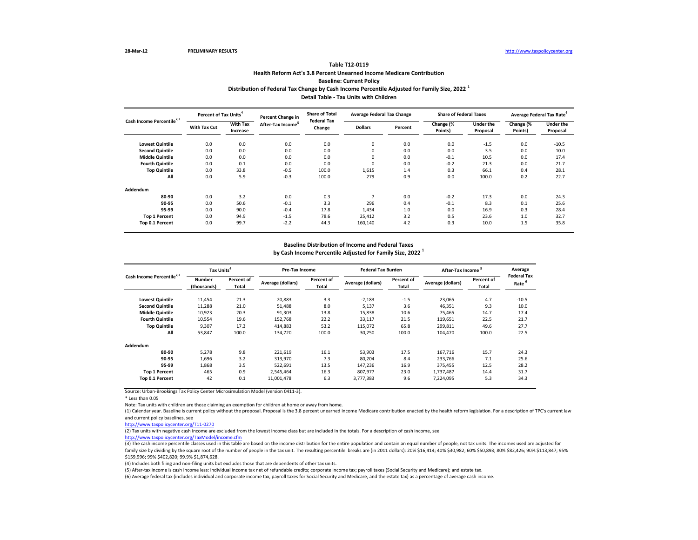| Cash Income Percentile <sup>2,3</sup> |                     | Percent of Tax Units <sup>4</sup> |                               | <b>Share of Total</b><br>Percent Change in<br><b>Federal Tax</b> | <b>Average Federal Tax Change</b> |         | <b>Share of Federal Taxes</b> |                              | Average Federal Tax Rate <sup>6</sup> |                              |
|---------------------------------------|---------------------|-----------------------------------|-------------------------------|------------------------------------------------------------------|-----------------------------------|---------|-------------------------------|------------------------------|---------------------------------------|------------------------------|
|                                       | <b>With Tax Cut</b> | <b>With Tax</b><br>Increase       | After-Tax Income <sup>3</sup> | Change                                                           | <b>Dollars</b>                    | Percent | Change (%<br>Points)          | <b>Under the</b><br>Proposal | Change (%<br>Points)                  | <b>Under the</b><br>Proposal |
| <b>Lowest Quintile</b>                | 0.0                 | 0.0                               | 0.0                           | 0.0                                                              | 0                                 | 0.0     | 0.0                           | $-1.5$                       | 0.0                                   | $-10.5$                      |
| <b>Second Quintile</b>                | 0.0                 | 0.0                               | 0.0                           | 0.0                                                              | $\mathbf{0}$                      | 0.0     | 0.0                           | 3.5                          | 0.0                                   | 10.0                         |
| <b>Middle Quintile</b>                | 0.0                 | 0.0                               | 0.0                           | 0.0                                                              | 0                                 | 0.0     | $-0.1$                        | 10.5                         | 0.0                                   | 17.4                         |
| <b>Fourth Quintile</b>                | 0.0                 | 0.1                               | 0.0                           | 0.0                                                              | $\mathbf{0}$                      | 0.0     | $-0.2$                        | 21.3                         | 0.0                                   | 21.7                         |
| <b>Top Quintile</b>                   | 0.0                 | 33.8                              | $-0.5$                        | 100.0                                                            | 1,615                             | 1.4     | 0.3                           | 66.1                         | 0.4                                   | 28.1                         |
| All                                   | 0.0                 | 5.9                               | $-0.3$                        | 100.0                                                            | 279                               | 0.9     | 0.0                           | 100.0                        | 0.2                                   | 22.7                         |
| Addendum                              |                     |                                   |                               |                                                                  |                                   |         |                               |                              |                                       |                              |
| 80-90                                 | 0.0                 | 3.2                               | 0.0                           | 0.3                                                              |                                   | 0.0     | $-0.2$                        | 17.3                         | 0.0                                   | 24.3                         |
| 90-95                                 | 0.0                 | 50.6                              | $-0.1$                        | 3.3                                                              | 296                               | 0.4     | $-0.1$                        | 8.3                          | 0.1                                   | 25.6                         |
| 95-99                                 | 0.0                 | 90.0                              | $-0.4$                        | 17.8                                                             | 1,434                             | 1.0     | 0.0                           | 16.9                         | 0.3                                   | 28.4                         |
| <b>Top 1 Percent</b>                  | 0.0                 | 94.9                              | $-1.5$                        | 78.6                                                             | 25,412                            | 3.2     | 0.5                           | 23.6                         | 1.0                                   | 32.7                         |
| Top 0.1 Percent                       | 0.0                 | 99.7                              | $-2.2$                        | 44.3                                                             | 160,140                           | 4.2     | 0.3                           | 10.0                         | 1.5                                   | 35.8                         |

\* Less than 0.05

Note: Tax units with children are those claiming an exemption for children at home or away from home.

| Cash Income Percentile <sup>2,3</sup> | Tax Units <sup>4</sup>       |                            | <b>Pre-Tax Income</b> |                            | <b>Federal Tax Burden</b> |                            | After-Tax Income <sup>3</sup> |                                   | Average                                 |
|---------------------------------------|------------------------------|----------------------------|-----------------------|----------------------------|---------------------------|----------------------------|-------------------------------|-----------------------------------|-----------------------------------------|
|                                       | <b>Number</b><br>(thousands) | <b>Percent of</b><br>Total | Average (dollars)     | Percent of<br><b>Total</b> | Average (dollars)         | Percent of<br><b>Total</b> | Average (dollars)             | <b>Percent of</b><br><b>Total</b> | <b>Federal Tax</b><br>Rate <sup>6</sup> |
| <b>Lowest Quintile</b>                | 11,454                       | 21.3                       | 20,883                | 3.3                        | $-2,183$                  | $-1.5$                     | 23,065                        | 4.7                               | $-10.5$                                 |
| <b>Second Quintile</b>                | 11,288                       | 21.0                       | 51,488                | 8.0                        | 5,137                     | 3.6                        | 46,351                        | 9.3                               | 10.0                                    |
| <b>Middle Quintile</b>                | 10,923                       | 20.3                       | 91,303                | 13.8                       | 15,838                    | 10.6                       | 75,465                        | 14.7                              | 17.4                                    |
| <b>Fourth Quintile</b>                | 10,554                       | 19.6                       | 152,768               | 22.2                       | 33,117                    | 21.5                       | 119,651                       | 22.5                              | 21.7                                    |
| <b>Top Quintile</b>                   | 9,307                        | 17.3                       | 414,883               | 53.2                       | 115,072                   | 65.8                       | 299,811                       | 49.6                              | 27.7                                    |
| All                                   | 53,847                       | 100.0                      | 134,720               | 100.0                      | 30,250                    | 100.0                      | 104,470                       | 100.0                             | 22.5                                    |
| Addendum                              |                              |                            |                       |                            |                           |                            |                               |                                   |                                         |
| 80-90                                 | 5,278                        | 9.8                        | 221,619               | 16.1                       | 53,903                    | 17.5                       | 167,716                       | 15.7                              | 24.3                                    |
| 90-95                                 | 1,696                        | 3.2                        | 313,970               | 7.3                        | 80,204                    | 8.4                        | 233,766                       | 7.1                               | 25.6                                    |
| 95-99                                 | 1,868                        | 3.5                        | 522,691               | 13.5                       | 147,236                   | 16.9                       | 375,455                       | 12.5                              | 28.2                                    |
| <b>Top 1 Percent</b>                  | 465                          | 0.9                        | 2,545,464             | 16.3                       | 807,977                   | 23.0                       | 1,737,487                     | 14.4                              | 31.7                                    |
| Top 0.1 Percent                       | 42                           | 0.1                        | 11,001,478            | 6.3                        | 3,777,383                 | 9.6                        | 7,224,095                     | 5.3                               | 34.3                                    |

## **Distribution of Federal Tax Change by Cash Income Percentile Adjusted for Family Size, 2022 <sup>1</sup> Detail Table - Tax Units with Children**

# **Table T12-0119 Health Reform Act's 3.8 Percent Unearned Income Medicare Contribution Baseline: Current Policy**

## **Baseline Distribution of Income and Federal Taxes**

**by Cash Income Percentile Adjusted for Family Size, 2022 <sup>1</sup>**

(5) After-tax income is cash income less: individual income tax net of refundable credits; corporate income tax; payroll taxes (Social Security and Medicare); and estate tax. (6) Average federal tax (includes individual and corporate income tax, payroll taxes for Social Security and Medicare, and the estate tax) as a percentage of average cash income.

(1) Calendar year. Baseline is current policy without the proposal. Proposal is the 3.8 percent unearned income Medicare contribution enacted by the health reform legislation. For a description of TPC's current law and current policy baselines, see

[http://www.taxpolicycente](http://www.taxpolicycenter.org/T11-0270)r.org/T11-0270

(2) Tax units with negative cash income are excluded from the lowest income class but are included in the totals. For a description of cash income, see [http://www.taxpolicycente](http://www.taxpolicycenter.org/TaxModel/income.cfm)r.org/TaxModel/income.cfm

(3) The cash income percentile classes used in this table are based on the income distribution for the entire population and contain an equal number of people, not tax units. The incomes used are adjusted for family size by dividing by the square root of the number of people in the tax unit. The resulting percentile breaks are (in 2011 dollars): 20% \$16,414; 40% \$30,982; 60% \$50,893; 80% \$82,426; 90% \$113,847; 95% \$159,996; 99% \$402,820; 99.9% \$1,874,628.